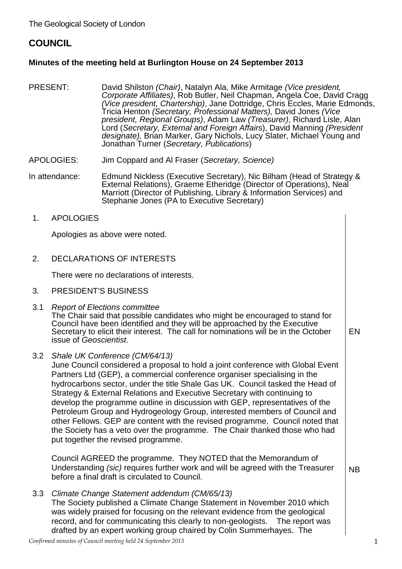## **COUNCIL**

## **Minutes of the meeting held at Burlington House on 24 September 2013**

- PRESENT: David Shilston *(Chair)*, Natalyn Ala, Mike Armitage *(Vice president, Corporate Affiliates)*, Rob Butler, Neil Chapman, Angela Coe, David Cragg *(Vice president, Chartership)*, Jane Dottridge, Chris Eccles, Marie Edmonds, Tricia Henton *(Secretary, Professional Matters),* David Jones *(Vice president, Regional Groups)*, Adam Law *(Treasurer)*, Richard Lisle, Alan Lord (*Secretary, External and Foreign Affairs*), David Manning *(President designate),* Brian Marker, Gary Nichols, Lucy Slater, Michael Young and Jonathan Turner (*Secretary, Publications*)
- APOLOGIES: Jim Coppard and Al Fraser (*Secretary, Science)*

In attendance: Edmund Nickless (Executive Secretary), Nic Bilham (Head of Strategy & External Relations), Graeme Etheridge (Director of Operations), Neal Marriott (Director of Publishing, Library & Information Services) and Stephanie Jones (PA to Executive Secretary)

1. APOLOGIES

Apologies as above were noted.

2. DECLARATIONS OF INTERESTS

There were no declarations of interests.

- 3. PRESIDENT'S BUSINESS
- 3.1 *Report of Elections committee*  The Chair said that possible candidates who might be encouraged to stand for Council have been identified and they will be approached by the Executive Secretary to elicit their interest. The call for nominations will be in the October issue of *Geoscientist*. EN
- 3.2 *Shale UK Conference (CM/64/13)*

June Council considered a proposal to hold a joint conference with Global Event Partners Ltd (GEP), a commercial conference organiser specialising in the hydrocarbons sector, under the title Shale Gas UK. Council tasked the Head of Strategy & External Relations and Executive Secretary with continuing to develop the programme outline in discussion with GEP, representatives of the Petroleum Group and Hydrogeology Group, interested members of Council and other Fellows. GEP are content with the revised programme. Council noted that the Society has a veto over the programme. The Chair thanked those who had put together the revised programme.

Council AGREED the programme. They NOTED that the Memorandum of Understanding *(sic)* requires further work and will be agreed with the Treasurer  $\qquad$  NB<br>before a final draft is circulated to Council.

3.3 *Climate Change Statement addendum (CM/65/13)*

The Society published a Climate Change Statement in November 2010 which was widely praised for focusing on the relevant evidence from the geological record, and for communicating this clearly to non-geologists. The report was drafted by an expert working group chaired by Colin Summerhayes. The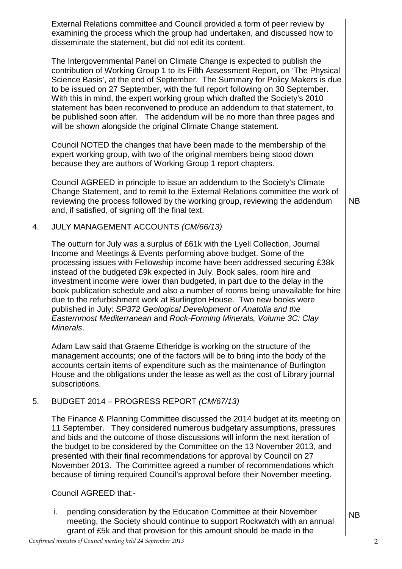External Relations committee and Council provided a form of peer review by examining the process which the group had undertaken, and discussed how to disseminate the statement, but did not edit its content.

The Intergovernmental Panel on Climate Change is expected to publish the contribution of Working Group 1 to its Fifth Assessment Report, on 'The Physical Science Basis', at the end of September. The Summary for Policy Makers is due to be issued on 27 September, with the full report following on 30 September. With this in mind, the expert working group which drafted the Society's 2010 statement has been reconvened to produce an addendum to that statement, to be published soon after. The addendum will be no more than three pages and will be shown alongside the original Climate Change statement.

Council NOTED the changes that have been made to the membership of the expert working group, with two of the original members being stood down because they are authors of Working Group 1 report chapters.

Council AGREED in principle to issue an addendum to the Society's Climate Change Statement, and to remit to the External Relations committee the work of reviewing the process followed by the working group, reviewing the addendum and, if satisfied, of signing off the final text.

## 4. JULY MANAGEMENT ACCOUNTS *(CM/66/13)*

The outturn for July was a surplus of £61k with the Lyell Collection, Journal Income and Meetings & Events performing above budget. Some of the processing issues with Fellowship income have been addressed securing £38k instead of the budgeted £9k expected in July. Book sales, room hire and investment income were lower than budgeted, in part due to the delay in the book publication schedule and also a number of rooms being unavailable for hire due to the refurbishment work at Burlington House. Two new books were published in July: *SP372 Geological Development of Anatolia and the Easternmost Mediterranean* and *Rock-Forming Minerals, Volume 3C: Clay Minerals*.

Adam Law said that Graeme Etheridge is working on the structure of the management accounts; one of the factors will be to bring into the body of the accounts certain items of expenditure such as the maintenance of Burlington House and the obligations under the lease as well as the cost of Library journal subscriptions.

## 5. BUDGET 2014 – PROGRESS REPORT *(CM/67/13)*

The Finance & Planning Committee discussed the 2014 budget at its meeting on 11 September. They considered numerous budgetary assumptions, pressures and bids and the outcome of those discussions will inform the next iteration of the budget to be considered by the Committee on the 13 November 2013, and presented with their final recommendations for approval by Council on 27 November 2013. The Committee agreed a number of recommendations which because of timing required Council's approval before their November meeting.

Council AGREED that:-

i. pending consideration by the Education Committee at their November meeting, the Society should continue to support Rockwatch with an annual grant of £5k and that provision for this amount should be made in the

NB

NB